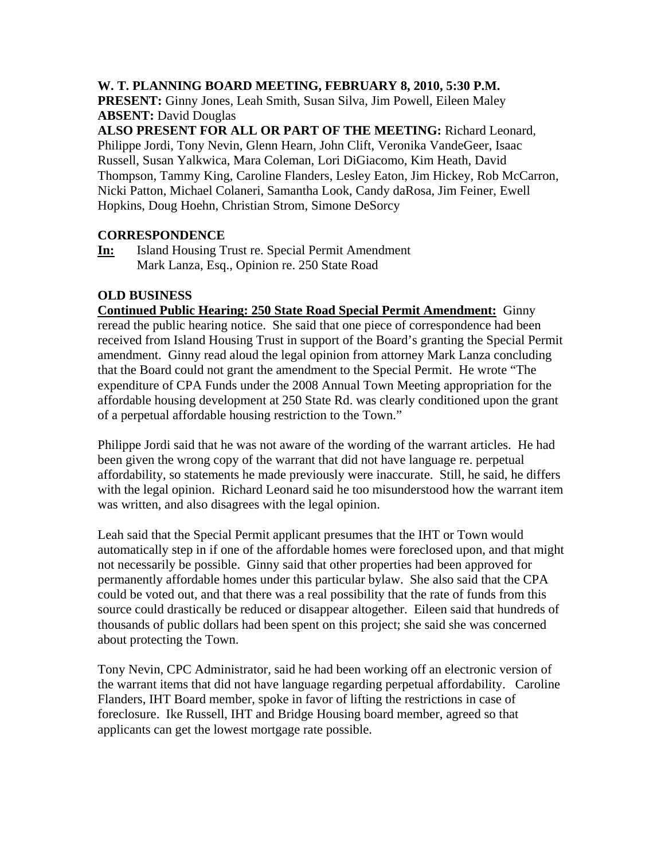### **W. T. PLANNING BOARD MEETING, FEBRUARY 8, 2010, 5:30 P.M.**

**PRESENT:** Ginny Jones, Leah Smith, Susan Silva, Jim Powell, Eileen Maley **ABSENT:** David Douglas

**ALSO PRESENT FOR ALL OR PART OF THE MEETING:** Richard Leonard, Philippe Jordi, Tony Nevin, Glenn Hearn, John Clift, Veronika VandeGeer, Isaac Russell, Susan Yalkwica, Mara Coleman, Lori DiGiacomo, Kim Heath, David Thompson, Tammy King, Caroline Flanders, Lesley Eaton, Jim Hickey, Rob McCarron, Nicki Patton, Michael Colaneri, Samantha Look, Candy daRosa, Jim Feiner, Ewell Hopkins, Doug Hoehn, Christian Strom, Simone DeSorcy

# **CORRESPONDENCE**

**In:** Island Housing Trust re. Special Permit Amendment Mark Lanza, Esq., Opinion re. 250 State Road

### **OLD BUSINESS**

**Continued Public Hearing: 250 State Road Special Permit Amendment:** Ginny reread the public hearing notice. She said that one piece of correspondence had been received from Island Housing Trust in support of the Board's granting the Special Permit amendment. Ginny read aloud the legal opinion from attorney Mark Lanza concluding that the Board could not grant the amendment to the Special Permit. He wrote "The expenditure of CPA Funds under the 2008 Annual Town Meeting appropriation for the affordable housing development at 250 State Rd. was clearly conditioned upon the grant of a perpetual affordable housing restriction to the Town."

Philippe Jordi said that he was not aware of the wording of the warrant articles. He had been given the wrong copy of the warrant that did not have language re. perpetual affordability, so statements he made previously were inaccurate. Still, he said, he differs with the legal opinion. Richard Leonard said he too misunderstood how the warrant item was written, and also disagrees with the legal opinion.

Leah said that the Special Permit applicant presumes that the IHT or Town would automatically step in if one of the affordable homes were foreclosed upon, and that might not necessarily be possible. Ginny said that other properties had been approved for permanently affordable homes under this particular bylaw. She also said that the CPA could be voted out, and that there was a real possibility that the rate of funds from this source could drastically be reduced or disappear altogether. Eileen said that hundreds of thousands of public dollars had been spent on this project; she said she was concerned about protecting the Town.

Tony Nevin, CPC Administrator, said he had been working off an electronic version of the warrant items that did not have language regarding perpetual affordability. Caroline Flanders, IHT Board member, spoke in favor of lifting the restrictions in case of foreclosure. Ike Russell, IHT and Bridge Housing board member, agreed so that applicants can get the lowest mortgage rate possible.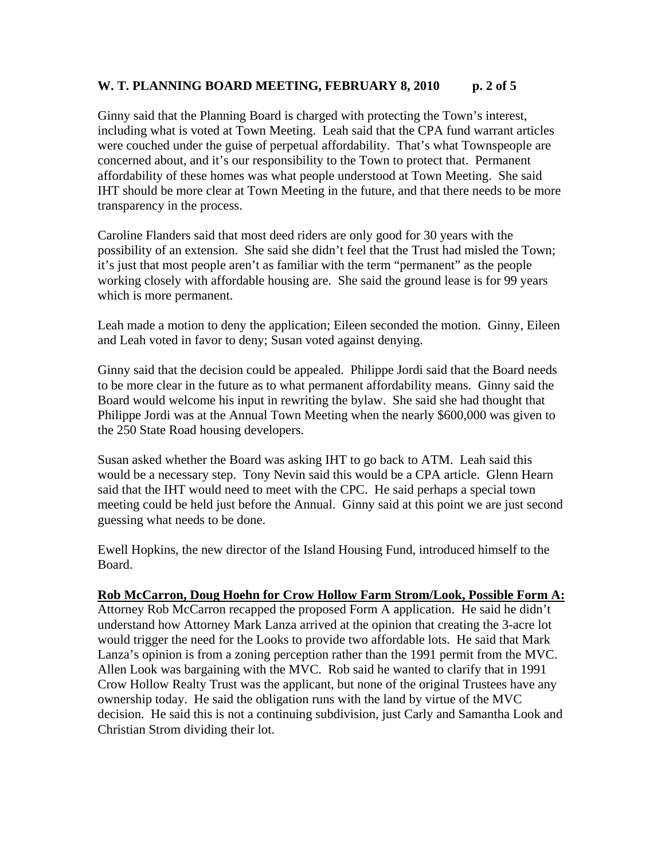# W. T. PLANNING BOARD MEETING, FEBRUARY 8, 2010 p. 2 of 5

Ginny said that the Planning Board is charged with protecting the Town's interest, including what is voted at Town Meeting. Leah said that the CPA fund warrant articles were couched under the guise of perpetual affordability. That's what Townspeople are concerned about, and it's our responsibility to the Town to protect that. Permanent affordability of these homes was what people understood at Town Meeting. She said IHT should be more clear at Town Meeting in the future, and that there needs to be more transparency in the process.

Caroline Flanders said that most deed riders are only good for 30 years with the possibility of an extension. She said she didn't feel that the Trust had misled the Town; it's just that most people aren't as familiar with the term "permanent" as the people working closely with affordable housing are. She said the ground lease is for 99 years which is more permanent.

Leah made a motion to deny the application; Eileen seconded the motion. Ginny, Eileen and Leah voted in favor to deny; Susan voted against denying.

Ginny said that the decision could be appealed. Philippe Jordi said that the Board needs to be more clear in the future as to what permanent affordability means. Ginny said the Board would welcome his input in rewriting the bylaw. She said she had thought that Philippe Jordi was at the Annual Town Meeting when the nearly \$600,000 was given to the 250 State Road housing developers.

Susan asked whether the Board was asking IHT to go back to ATM. Leah said this would be a necessary step. Tony Nevin said this would be a CPA article. Glenn Hearn said that the IHT would need to meet with the CPC. He said perhaps a special town meeting could be held just before the Annual. Ginny said at this point we are just second guessing what needs to be done.

Ewell Hopkins, the new director of the Island Housing Fund, introduced himself to the Board.

#### **Rob McCarron, Doug Hoehn for Crow Hollow Farm Strom/Look, Possible Form A:**

Attorney Rob McCarron recapped the proposed Form A application. He said he didn't understand how Attorney Mark Lanza arrived at the opinion that creating the 3-acre lot would trigger the need for the Looks to provide two affordable lots. He said that Mark Lanza's opinion is from a zoning perception rather than the 1991 permit from the MVC. Allen Look was bargaining with the MVC. Rob said he wanted to clarify that in 1991 Crow Hollow Realty Trust was the applicant, but none of the original Trustees have any ownership today. He said the obligation runs with the land by virtue of the MVC decision. He said this is not a continuing subdivision, just Carly and Samantha Look and Christian Strom dividing their lot.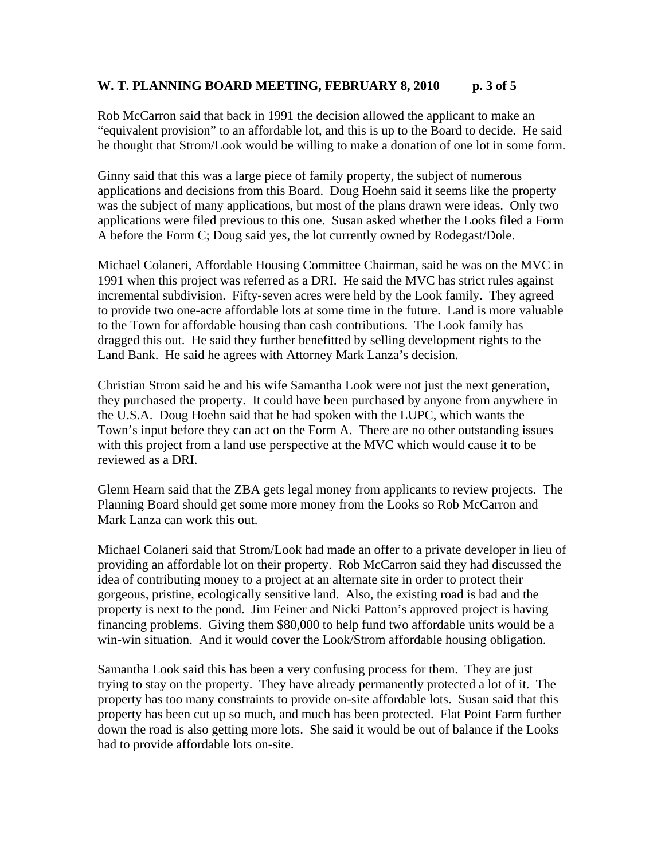### W. T. PLANNING BOARD MEETING, FEBRUARY 8, 2010 p. 3 of 5

Rob McCarron said that back in 1991 the decision allowed the applicant to make an "equivalent provision" to an affordable lot, and this is up to the Board to decide. He said he thought that Strom/Look would be willing to make a donation of one lot in some form.

Ginny said that this was a large piece of family property, the subject of numerous applications and decisions from this Board. Doug Hoehn said it seems like the property was the subject of many applications, but most of the plans drawn were ideas. Only two applications were filed previous to this one. Susan asked whether the Looks filed a Form A before the Form C; Doug said yes, the lot currently owned by Rodegast/Dole.

Michael Colaneri, Affordable Housing Committee Chairman, said he was on the MVC in 1991 when this project was referred as a DRI. He said the MVC has strict rules against incremental subdivision. Fifty-seven acres were held by the Look family. They agreed to provide two one-acre affordable lots at some time in the future. Land is more valuable to the Town for affordable housing than cash contributions. The Look family has dragged this out. He said they further benefitted by selling development rights to the Land Bank. He said he agrees with Attorney Mark Lanza's decision.

Christian Strom said he and his wife Samantha Look were not just the next generation, they purchased the property. It could have been purchased by anyone from anywhere in the U.S.A. Doug Hoehn said that he had spoken with the LUPC, which wants the Town's input before they can act on the Form A. There are no other outstanding issues with this project from a land use perspective at the MVC which would cause it to be reviewed as a DRI.

Glenn Hearn said that the ZBA gets legal money from applicants to review projects. The Planning Board should get some more money from the Looks so Rob McCarron and Mark Lanza can work this out.

Michael Colaneri said that Strom/Look had made an offer to a private developer in lieu of providing an affordable lot on their property. Rob McCarron said they had discussed the idea of contributing money to a project at an alternate site in order to protect their gorgeous, pristine, ecologically sensitive land. Also, the existing road is bad and the property is next to the pond. Jim Feiner and Nicki Patton's approved project is having financing problems. Giving them \$80,000 to help fund two affordable units would be a win-win situation. And it would cover the Look/Strom affordable housing obligation.

Samantha Look said this has been a very confusing process for them. They are just trying to stay on the property. They have already permanently protected a lot of it. The property has too many constraints to provide on-site affordable lots. Susan said that this property has been cut up so much, and much has been protected. Flat Point Farm further down the road is also getting more lots. She said it would be out of balance if the Looks had to provide affordable lots on-site.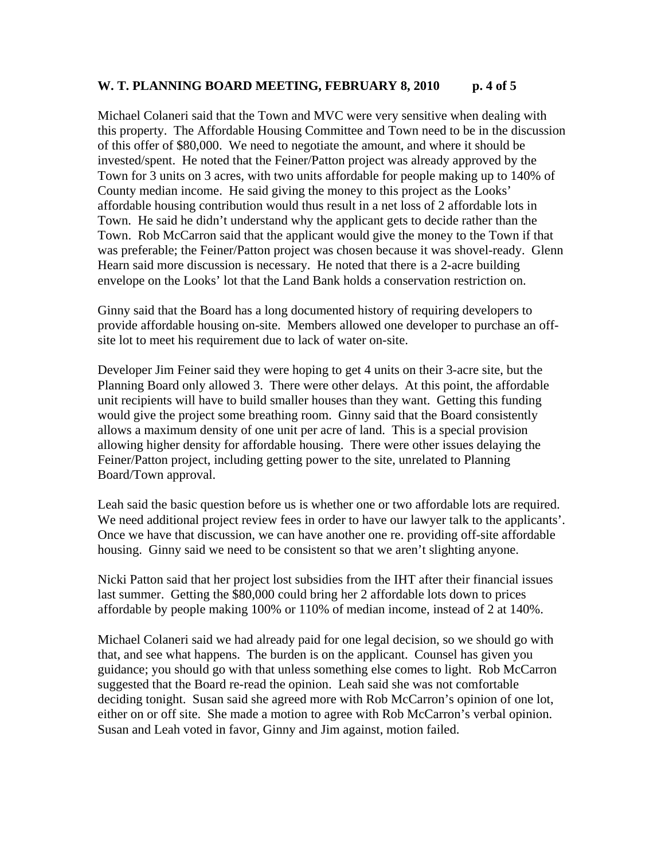### W. T. PLANNING BOARD MEETING, FEBRUARY 8, 2010 p. 4 of 5

Michael Colaneri said that the Town and MVC were very sensitive when dealing with this property. The Affordable Housing Committee and Town need to be in the discussion of this offer of \$80,000. We need to negotiate the amount, and where it should be invested/spent. He noted that the Feiner/Patton project was already approved by the Town for 3 units on 3 acres, with two units affordable for people making up to 140% of County median income. He said giving the money to this project as the Looks' affordable housing contribution would thus result in a net loss of 2 affordable lots in Town. He said he didn't understand why the applicant gets to decide rather than the Town. Rob McCarron said that the applicant would give the money to the Town if that was preferable; the Feiner/Patton project was chosen because it was shovel-ready. Glenn Hearn said more discussion is necessary. He noted that there is a 2-acre building envelope on the Looks' lot that the Land Bank holds a conservation restriction on.

Ginny said that the Board has a long documented history of requiring developers to provide affordable housing on-site. Members allowed one developer to purchase an offsite lot to meet his requirement due to lack of water on-site.

Developer Jim Feiner said they were hoping to get 4 units on their 3-acre site, but the Planning Board only allowed 3. There were other delays. At this point, the affordable unit recipients will have to build smaller houses than they want. Getting this funding would give the project some breathing room. Ginny said that the Board consistently allows a maximum density of one unit per acre of land. This is a special provision allowing higher density for affordable housing. There were other issues delaying the Feiner/Patton project, including getting power to the site, unrelated to Planning Board/Town approval.

Leah said the basic question before us is whether one or two affordable lots are required. We need additional project review fees in order to have our lawyer talk to the applicants'. Once we have that discussion, we can have another one re. providing off-site affordable housing. Ginny said we need to be consistent so that we aren't slighting anyone.

Nicki Patton said that her project lost subsidies from the IHT after their financial issues last summer. Getting the \$80,000 could bring her 2 affordable lots down to prices affordable by people making 100% or 110% of median income, instead of 2 at 140%.

Michael Colaneri said we had already paid for one legal decision, so we should go with that, and see what happens. The burden is on the applicant. Counsel has given you guidance; you should go with that unless something else comes to light. Rob McCarron suggested that the Board re-read the opinion. Leah said she was not comfortable deciding tonight. Susan said she agreed more with Rob McCarron's opinion of one lot, either on or off site. She made a motion to agree with Rob McCarron's verbal opinion. Susan and Leah voted in favor, Ginny and Jim against, motion failed.